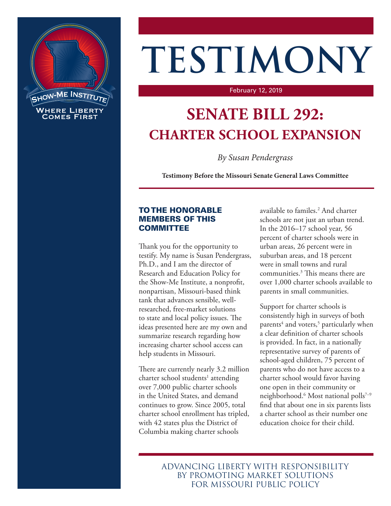

# **TESTIMONY**

#### February 12, 2019

# **SENATE BILL 292: CHARTER SCHOOL EXPANSION**

*By Susan Pendergrass*

**Testimony Before the Missouri Senate General Laws Committee**

### TO THE HONORABLE MEMBERS OF THIS **COMMITTEE**

Thank you for the opportunity to testify. My name is Susan Pendergrass, Ph.D., and I am the director of Research and Education Policy for the Show-Me Institute, a nonprofit, nonpartisan, Missouri-based think tank that advances sensible, wellresearched, free-market solutions to state and local policy issues. The ideas presented here are my own and summarize research regarding how increasing charter school access can help students in Missouri.

There are currently nearly 3.2 million charter school students<sup>1</sup> attending over 7,000 public charter schools in the United States, and demand continues to grow. Since 2005, total charter school enrollment has tripled, with 42 states plus the District of Columbia making charter schools

available to familes.2 And charter schools are not just an urban trend. In the 2016–17 school year, 56 percent of charter schools were in urban areas, 26 percent were in suburban areas, and 18 percent were in small towns and rural communities.3 This means there are over 1,000 charter schools available to parents in small communities.

Support for charter schools is consistently high in surveys of both parents<sup>4</sup> and voters,<sup>5</sup> particularly when a clear definition of charter schools is provided. In fact, in a nationally representative survey of parents of school-aged children, 75 percent of parents who do not have access to a charter school would favor having one open in their community or neighborhood.6 Most national polls7–9 find that about one in six parents lists a charter school as their number one education choice for their child.

ADVANCING LIBERTY WITH RESPONSIBILITY BY PROMOTING MARKET SOLUTIONS FOR MISSOURI PUBLIC POLICY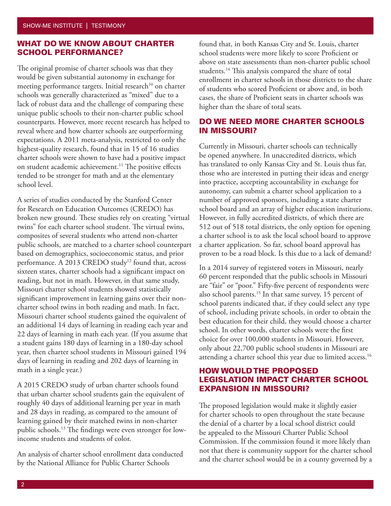#### WHAT DO WE KNOW ABOUT CHARTER SCHOOL PERFORMANCE?

The original promise of charter schools was that they would be given substantial autonomy in exchange for meeting performance targets. Initial research<sup>10</sup> on charter schools was generally characterized as "mixed" due to a lack of robust data and the challenge of comparing these unique public schools to their non-charter public school counterparts. However, more recent research has helped to reveal where and how charter schools are outperforming expectations. A 2011 meta-analysis, restricted to only the highest-quality research, found that in 15 of 16 studies charter schools were shown to have had a positive impact on student academic achievement.<sup>11</sup> The positive effects tended to be stronger for math and at the elementary school level.

A series of studies conducted by the Stanford Center for Research on Education Outcomes (CREDO) has broken new ground. These studies rely on creating "virtual twins" for each charter school student. The virtual twins, composites of several students who attend non-charter public schools, are matched to a charter school counterpart based on demographics, socioeconomic status, and prior performance. A 2013 CREDO study<sup>12</sup> found that, across sixteen states, charter schools had a significant impact on reading, but not in math. However, in that same study, Missouri charter school students showed statistically significant improvement in learning gains over their noncharter school twins in both reading and math. In fact, Missouri charter school students gained the equivalent of an additional 14 days of learning in reading each year and 22 days of learning in math each year. (If you assume that a student gains 180 days of learning in a 180-day school year, then charter school students in Missouri gained 194 days of learning in reading and 202 days of learning in math in a single year.)

A 2015 CREDO study of urban charter schools found that urban charter school students gain the equivalent of roughly 40 days of additional learning per year in math and 28 days in reading, as compared to the amount of learning gained by their matched twins in non-charter public schools.13 The findings were even stronger for lowincome students and students of color.

An analysis of charter school enrollment data conducted by the National Alliance for Public Charter Schools

found that, in both Kansas City and St. Louis, charter school students were more likely to score Proficient or above on state assessments than non-charter public school students.<sup>14</sup> This analysis compared the share of total enrollment in charter schools in those districts to the share of students who scored Proficient or above and, in both cases, the share of Proficient seats in charter schools was higher than the share of total seats.

### DO WE NEED MORE CHARTER SCHOOLS IN MISSOURI?

Currently in Missouri, charter schools can technically be opened anywhere. In unaccredited districts, which has translated to only Kansas City and St. Louis thus far, those who are interested in putting their ideas and energy into practice, accepting accountability in exchange for autonomy, can submit a charter school application to a number of approved sponsors, including a state charter school board and an array of higher education institutions. However, in fully accredited districts, of which there are 512 out of 518 total districts, the only option for opening a charter school is to ask the local school board to approve a charter application. So far, school board approval has proven to be a road block. Is this due to a lack of demand?

In a 2014 survey of registered voters in Missouri, nearly 60 percent responded that the public schools in Missouri are "fair" or "poor." Fifty-five percent of respondents were also school parents.<sup>15</sup> In that same survey, 15 percent of school parents indicated that, if they could select any type of school, including private schools, in order to obtain the best education for their child, they would choose a charter school. In other words, charter schools were the first choice for over 100,000 students in Missouri. However, only about 22,700 public school students in Missouri are attending a charter school this year due to limited access.<sup>16</sup>

## HOW WOULD THE PROPOSED LEGISLATION IMPACT CHARTER SCHOOL EXPANSION IN MISSOURI?

The proposed legislation would make it slightly easier for charter schools to open throughout the state because the denial of a charter by a local school district could be appealed to the Missouri Charter Public School Commission. If the commission found it more likely than not that there is community support for the charter school and the charter school would be in a county governed by a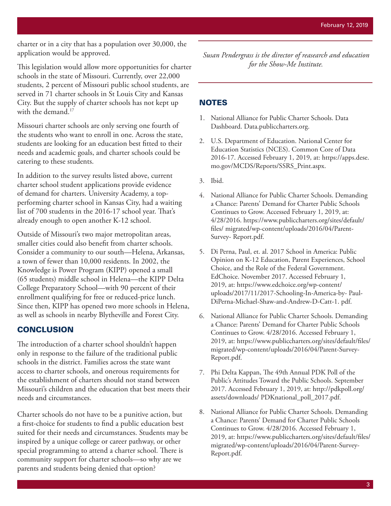charter or in a city that has a population over 30,000, the application would be approved.

This legislation would allow more opportunities for charter schools in the state of Missouri. Currently, over 22,000 students, 2 percent of Missouri public school students, are served in 71 charter schools in St Louis City and Kansas City. But the supply of charter schools has not kept up with the demand.<sup>17</sup>

Missouri charter schools are only serving one fourth of the students who want to enroll in one. Across the state, students are looking for an education best fitted to their needs and academic goals, and charter schools could be catering to these students.

In addition to the survey results listed above, current charter school student applications provide evidence of demand for charters. University Academy, a topperforming charter school in Kansas City, had a waiting list of 700 students in the 2016-17 school year. That's already enough to open another K-12 school.

Outside of Missouri's two major metropolitan areas, smaller cities could also benefit from charter schools. Consider a community to our south—Helena, Arkansas, a town of fewer than 10,000 residents. In 2002, the Knowledge is Power Program (KIPP) opened a small (65 students) middle school in Helena—the KIPP Delta College Preparatory School—with 90 percent of their enrollment qualifying for free or reduced-price lunch. Since then, KIPP has opened two more schools in Helena, as well as schools in nearby Blytheville and Forest City.

#### **CONCLUSION**

The introduction of a charter school shouldn't happen only in response to the failure of the traditional public schools in the district. Families across the state want access to charter schools, and onerous requirements for the establishment of charters should not stand between Missouri's children and the education that best meets their needs and circumstances.

Charter schools do not have to be a punitive action, but a first-choice for students to find a public education best suited for their needs and circumstances. Students may be inspired by a unique college or career pathway, or other special programming to attend a charter school. There is community support for charter schools—so why are we parents and students being denied that option?

*Susan Pendergrass is the director of reasearch and education for the Show-Me Institute.*

#### **NOTES**

- 1. National Alliance for Public Charter Schools. Data Dashboard. Data.publiccharters.org.
- 2. U.S. Department of Education. National Center for Education Statistics (NCES). Common Core of Data 2016-17. Accessed February 1, 2019, at: https://apps.dese. mo.gov/MCDS/Reports/SSRS\_Print.aspx.
- 3. Ibid.
- 4. National Alliance for Public Charter Schools. Demanding a Chance: Parents' Demand for Charter Public Schools Continues to Grow. Accessed February 1, 2019, at: 4/28/2016. https://www.publiccharters.org/sites/default/ files/ migrated/wp-content/uploads/2016/04/Parent-Survey- Report.pdf.
- 5. Di Perna, Paul, et. al. 2017 School in America: Public Opinion on K-12 Education, Parent Experiences, School Choice, and the Role of the Federal Government. EdChoice. November 2017. Accessed February 1, 2019, at: https://www.edchoice.org/wp-content/ uploads/2017/11/2017-Schooling-In-America-by- Paul-DiPerna-Michael-Shaw-and-Andrew-D-Catt-1. pdf.
- 6. National Alliance for Public Charter Schools. Demanding a Chance: Parents' Demand for Charter Public Schools Continues to Grow. 4/28/2016. Accessed February 1, 2019, at: https://www.publiccharters.org/sites/default/files/ migrated/wp-content/uploads/2016/04/Parent-Survey-Report.pdf.
- 7. Phi Delta Kappan, The 49th Annual PDK Poll of the Public's Attitudes Toward the Public Schools. September 2017. Accessed February 1, 2019, at: http://pdkpoll.org/ assets/downloads/ PDKnational\_poll\_2017.pdf.
- 8. National Alliance for Public Charter Schools. Demanding a Chance: Parents' Demand for Charter Public Schools Continues to Grow. 4/28/2016. Accessed February 1, 2019, at: https://www.publiccharters.org/sites/default/files/ migrated/wp-content/uploads/2016/04/Parent-Survey-Report.pdf.